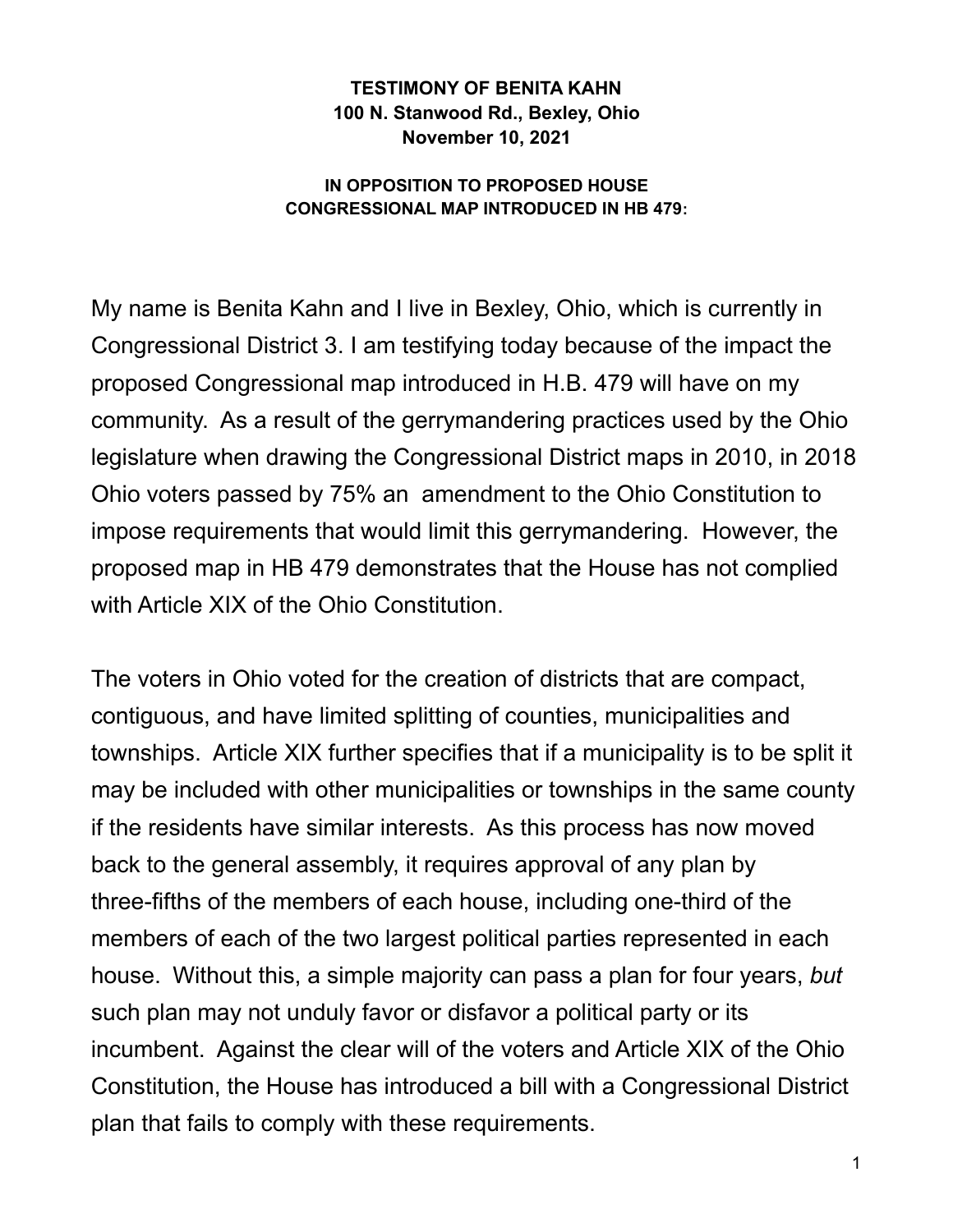## **TESTIMONY OF BENITA KAHN 100 N. Stanwood Rd., Bexley, Ohio November 10, 2021**

## **IN OPPOSITION TO PROPOSED HOUSE CONGRESSIONAL MAP INTRODUCED IN HB 479:**

My name is Benita Kahn and I live in Bexley, Ohio, which is currently in Congressional District 3. I am testifying today because of the impact the proposed Congressional map introduced in H.B. 479 will have on my community. As a result of the gerrymandering practices used by the Ohio legislature when drawing the Congressional District maps in 2010, in 2018 Ohio voters passed by 75% an amendment to the Ohio Constitution to impose requirements that would limit this gerrymandering. However, the proposed map in HB 479 demonstrates that the House has not complied with Article XIX of the Ohio Constitution.

The voters in Ohio voted for the creation of districts that are compact, contiguous, and have limited splitting of counties, municipalities and townships. Article XIX further specifies that if a municipality is to be split it may be included with other municipalities or townships in the same county if the residents have similar interests. As this process has now moved back to the general assembly, it requires approval of any plan by three-fifths of the members of each house, including one-third of the members of each of the two largest political parties represented in each house. Without this, a simple majority can pass a plan for four years, *but* such plan may not unduly favor or disfavor a political party or its incumbent. Against the clear will of the voters and Article XIX of the Ohio Constitution, the House has introduced a bill with a Congressional District plan that fails to comply with these requirements.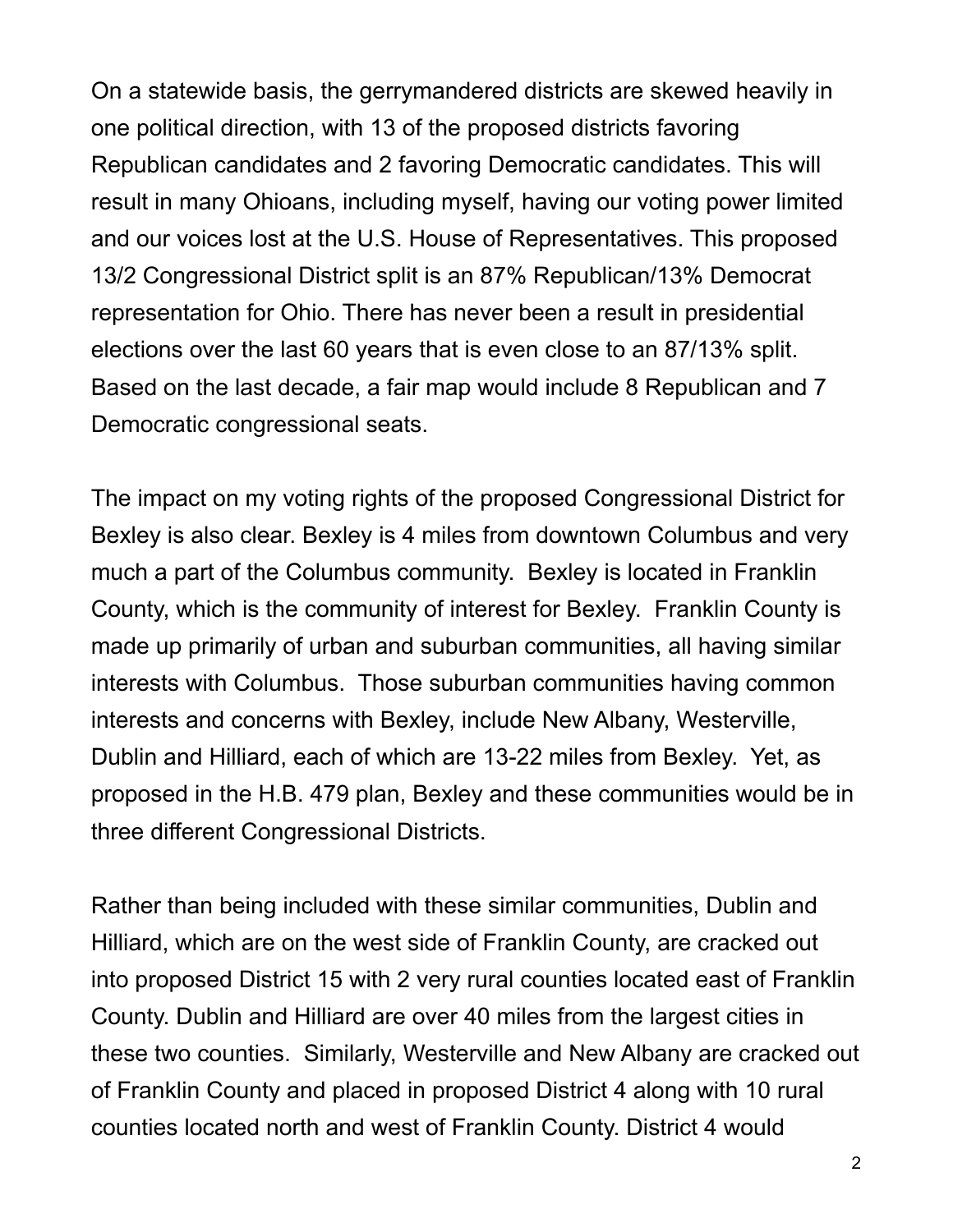On a statewide basis, the gerrymandered districts are skewed heavily in one political direction, with 13 of the proposed districts favoring Republican candidates and 2 favoring Democratic candidates. This will result in many Ohioans, including myself, having our voting power limited and our voices lost at the U.S. House of Representatives. This proposed 13/2 Congressional District split is an 87% Republican/13% Democrat representation for Ohio. There has never been a result in presidential elections over the last 60 years that is even close to an 87/13% split. Based on the last decade, a fair map would include 8 Republican and 7 Democratic congressional seats.

The impact on my voting rights of the proposed Congressional District for Bexley is also clear. Bexley is 4 miles from downtown Columbus and very much a part of the Columbus community. Bexley is located in Franklin County, which is the community of interest for Bexley. Franklin County is made up primarily of urban and suburban communities, all having similar interests with Columbus. Those suburban communities having common interests and concerns with Bexley, include New Albany, Westerville, Dublin and Hilliard, each of which are 13-22 miles from Bexley. Yet, as proposed in the H.B. 479 plan, Bexley and these communities would be in three different Congressional Districts.

Rather than being included with these similar communities, Dublin and Hilliard, which are on the west side of Franklin County, are cracked out into proposed District 15 with 2 very rural counties located east of Franklin County. Dublin and Hilliard are over 40 miles from the largest cities in these two counties. Similarly, Westerville and New Albany are cracked out of Franklin County and placed in proposed District 4 along with 10 rural counties located north and west of Franklin County. District 4 would